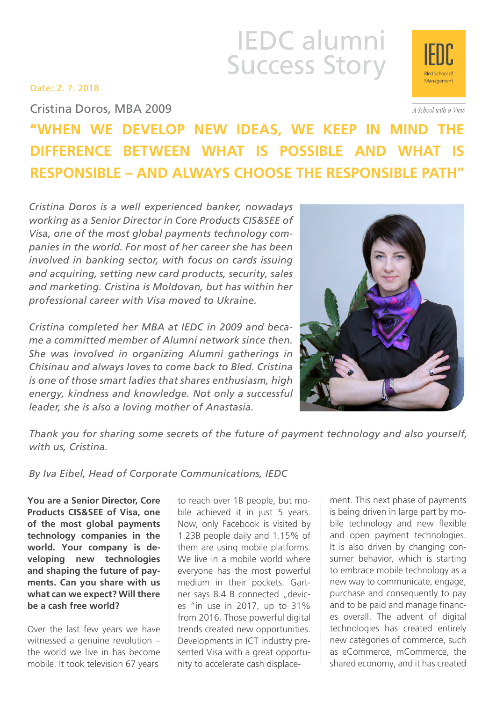# IEDC alumni Success Story

Date: 2. 7. 2018

Cristina Doros, MBA 2009

## **"When we develop new ideas, we keep in mind the difference between what is possible and what is responsible – and always choose the responsible path"**

*Cristina Doros is a well experienced banker, nowadays working as a Senior Director in Core Products CIS&SEE of Visa, one of the most global payments technology companies in the world. For most of her career she has been involved in banking sector, with focus on cards issuing and acquiring, setting new card products, security, sales and marketing. Cristina is Moldovan, but has within her professional career with Visa moved to Ukraine.*

*Cristina completed her MBA at IEDC in 2009 and became a committed member of Alumni network since then. She was involved in organizing Alumni gatherings in Chisinau and always loves to come back to Bled. Cristina is one of those smart ladies that shares enthusiasm, high energy, kindness and knowledge. Not only a successful leader, she is also a loving mother of Anastasia.*



*Thank you for sharing some secrets of the future of payment technology and also yourself, with us, Cristina.*

*By Iva Eibel, Head of Corporate Communications, IEDC*

**You are a Senior Director, Core Products CIS&SEE of Visa, one of the most global payments technology companies in the world. Your company is developing new technologies and shaping the future of payments. Can you share with us what can we expect? Will there be a cash free world?**

Over the last few years we have witnessed a genuine revolution – the world we live in has become mobile. It took television 67 years

to reach over 1B people, but mobile achieved it in just 5 years. Now, only Facebook is visited by 1.23B people daily and 1.15% of them are using mobile platforms. We live in a mobile world where everyone has the most powerful medium in their pockets. Gartner says 8.4 B connected "devices "in use in 2017, up to 31% from 2016. Those powerful digital trends created new opportunities. Developments in ICT industry presented Visa with a great opportunity to accelerate cash displace-

ment. This next phase of payments is being driven in large part by mobile technology and new flexible and open payment technologies. It is also driven by changing consumer behavior, which is starting to embrace mobile technology as a new way to communicate, engage, purchase and consequently to pay and to be paid and manage finances overall. The advent of digital technologies has created entirely new categories of commerce, such as eCommerce, mCommerce, the shared economy, and it has created



A School with a View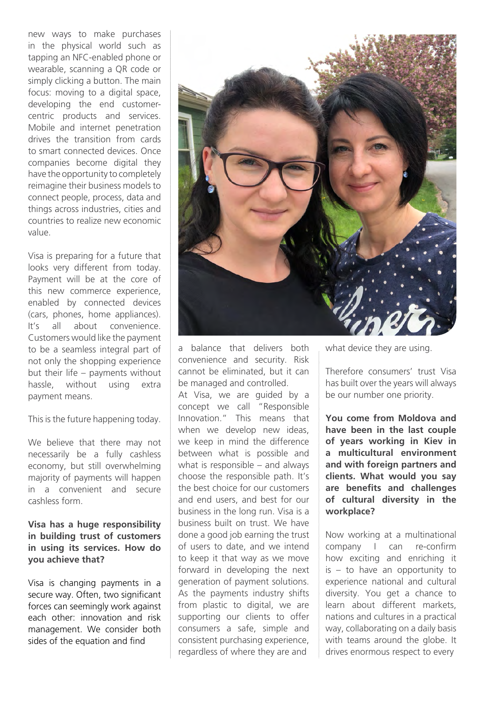new ways to make purchases in the physical world such as tapping an NFC-enabled phone or wearable, scanning a QR code or simply clicking a button. The main focus: moving to a digital space, developing the end customercentric products and services. Mobile and internet penetration drives the transition from cards to smart connected devices. Once companies become digital they have the opportunity to completely reimagine their business models to connect people, process, data and things across industries, cities and countries to realize new economic value.

Visa is preparing for a future that looks very different from today. Payment will be at the core of this new commerce experience, enabled by connected devices (cars, phones, home appliances). It's all about convenience. Customers would like the payment to be a seamless integral part of not only the shopping experience but their life – payments without hassle, without using extra payment means.

This is the future happening today.

We believe that there may not necessarily be a fully cashless economy, but still overwhelming majority of payments will happen in a convenient and secure cashless form.

#### **Visa has a huge responsibility in building trust of customers in using its services. How do you achieve that?**

Visa is changing payments in a secure way. Often, two significant forces can seemingly work against each other: innovation and risk management. We consider both sides of the equation and find



a balance that delivers both convenience and security. Risk cannot be eliminated, but it can be managed and controlled.

At Visa, we are guided by a concept we call "Responsible Innovation." This means that when we develop new ideas, we keep in mind the difference between what is possible and what is responsible – and always choose the responsible path. It's the best choice for our customers and end users, and best for our business in the long run. Visa is a business built on trust. We have done a good job earning the trust of users to date, and we intend to keep it that way as we move forward in developing the next generation of payment solutions. As the payments industry shifts from plastic to digital, we are supporting our clients to offer consumers a safe, simple and consistent purchasing experience, regardless of where they are and

what device they are using.

Therefore consumers' trust Visa has built over the years will always be our number one priority.

**You come from Moldova and have been in the last couple of years working in Kiev in a multicultural environment and with foreign partners and clients. What would you say are benefits and challenges of cultural diversity in the workplace?**

Now working at a multinational company I can re-confirm how exciting and enriching it is – to have an opportunity to experience national and cultural diversity. You get a chance to learn about different markets, nations and cultures in a practical way, collaborating on a daily basis with teams around the globe. It drives enormous respect to every